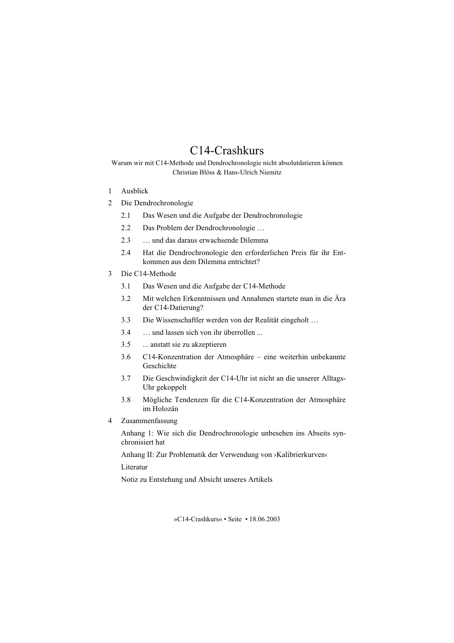# C14-Crashkurs

Warum wir mit C14-Methode und Dendrochronologie nicht absolutdatieren können Christian Blöss & Hans-Ulrich Niemitz

- $\mathbf{1}$ Aushlick
- $\mathcal{D}_{\mathcal{L}}$ Die Dendrochronologie
	- $2.1$ Das Wesen und die Aufgabe der Dendrochronologie
	- $22$ Das Problem der Dendrochronologie ...
	- $2.3$ ... und das daraus erwachsende Dilemma
	- Hat die Dendrochronologie den erforderlichen Preis für ihr Ent- $2.4$ kommen aus dem Dilemma entrichtet?
- $\mathcal{E}$ Die C14-Methode
	- $3<sub>1</sub>$ Das Wesen und die Aufgabe der C14-Methode
	- Mit welchen Erkenntnissen und Annahmen startete man in die Ära  $32$ der C14-Datierung?
	- Die Wissenschaftler werden von der Realität eingeholt ...  $3<sup>3</sup>$
	- ... und lassen sich von ihr überrollen ...  $34$
	- $3.5$ ... anstatt sie zu akzeptieren
	- C14-Konzentration der Atmosphäre eine weiterhin unbekannte  $3.6$ Geschichte
	- $37$ Die Geschwindigkeit der C14-Uhr ist nicht an die unserer Alltags-Uhr gekoppelt
	- $38$ Mögliche Tendenzen für die C14-Konzentration der Atmosphäre im Holozän
- $4 \quad$ Zusammenfassung

Anhang 1: Wie sich die Dendrochronologie unbesehen ins Abseits synchronisiert hat

Anhang II: Zur Problematik der Verwendung von »Kalibrierkurven«

Literatur

Notiz zu Entstehung und Absicht unseres Artikels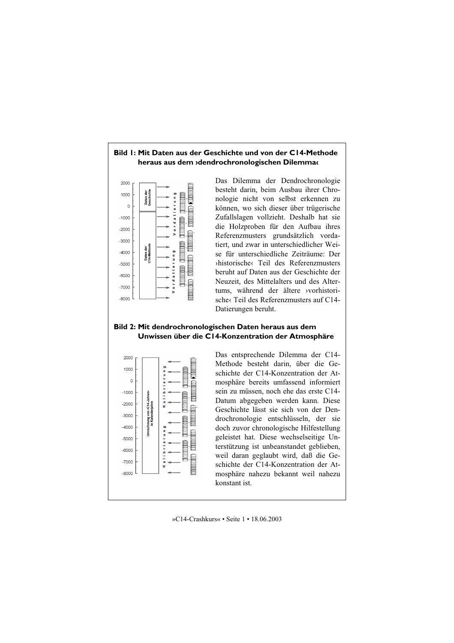## Bild I: Mit Daten aus der Geschichte und von der CI4-Methode heraus aus dem »dendrochronologischen Dilemma«



Das Dilemma der Dendrochronologie besteht darin, beim Ausbau ihrer Chronologie nicht von selbst erkennen zu können, wo sich dieser über trügerische Zufallslagen vollzieht. Deshalb hat sie die Holzproben für den Aufbau ihres Referenzmusters grundsätzlich vordatiert und zwar in unterschiedlicher Weise für unterschiedliche Zeiträume: Der shistorischer Teil des Referenzmusters beruht auf Daten aus der Geschichte der Neuzeit, des Mittelalters und des Altertums, während der ältere *yorhistori*sche< Teil des Referenzmusters auf C14-Datierungen beruht.

## Bild 2: Mit dendrochronologischen Daten heraus aus dem Unwissen über die C14-Konzentration der Atmosphäre



Das entsprechende Dilemma der C14-Methode besteht darin, über die Geschichte der C14-Konzentration der Atmosphäre bereits umfassend informiert sein zu müssen, noch ehe das erste C14-Datum abgegeben werden kann. Diese Geschichte lässt sie sich von der Dendrochronologie entschlüsseln, der sie doch zuvor chronologische Hilfestellung geleistet hat. Diese wechselseitige Unterstützung ist unbeanstandet geblieben, weil daran geglaubt wird, daß die Geschichte der C14-Konzentration der Atmosphäre nahezu bekannt weil nahezu konstant ist.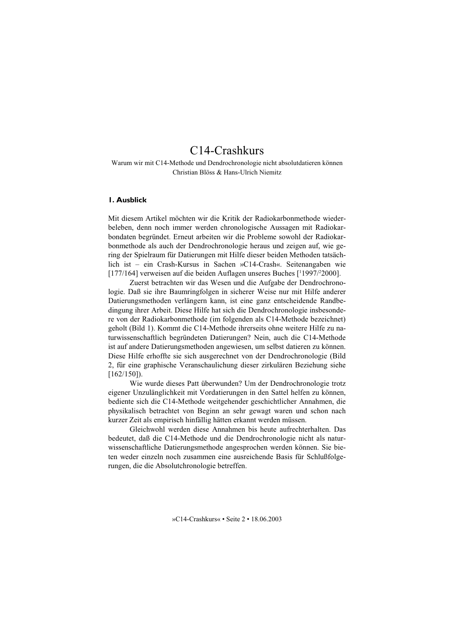# C14-Crashkurs

Warum wir mit C14-Methode und Dendrochronologie nicht absolutdatieren können Christian Blöss & Hans-Ulrich Niemitz

## **I. Ausblick**

Mit diesem Artikel möchten wir die Kritik der Radiokarbonmethode wiederbeleben, denn noch immer werden chronologische Aussagen mit Radiokarbondaten begründet. Erneut arbeiten wir die Probleme sowohl der Radiokarbonmethode als auch der Dendrochronologie heraus und zeigen auf, wie gering der Spielraum für Datierungen mit Hilfe dieser beiden Methoden tatsächlich ist - ein Crash-Kursus in Sachen »C14-Crash«. Seitenangaben wie [177/164] verweisen auf die beiden Auflagen unseres Buches [1997/2000].

Zuerst betrachten wir das Wesen und die Aufgabe der Dendrochronologie. Daß sie ihre Baumringfolgen in sicherer Weise nur mit Hilfe anderer Datierungsmethoden verlängern kann, ist eine ganz entscheidende Randbedingung ihrer Arbeit. Diese Hilfe hat sich die Dendrochronologie insbesondere von der Radiokarbonmethode (im folgenden als C14-Methode bezeichnet) geholt (Bild 1). Kommt die C14-Methode ihrerseits ohne weitere Hilfe zu naturwissenschaftlich begründeten Datierungen? Nein, auch die C14-Methode ist auf andere Datierungsmethoden angewiesen, um selbst datieren zu können. Diese Hilfe erhoffte sie sich ausgerechnet von der Dendrochronologie (Bild 2, für eine graphische Veranschaulichung dieser zirkulären Beziehung siehe  $[162/150]$ .

Wie wurde dieses Patt überwunden? Um der Dendrochronologie trotz eigener Unzulänglichkeit mit Vordatierungen in den Sattel helfen zu können, bediente sich die C14-Methode weitgehender geschichtlicher Annahmen, die physikalisch betrachtet von Beginn an sehr gewagt waren und schon nach kurzer Zeit als empirisch hinfällig hätten erkannt werden müssen.

Gleichwohl werden diese Annahmen bis heute aufrechterhalten Das bedeutet, daß die C14-Methode und die Dendrochronologie nicht als naturwissenschaftliche Datierungsmethode angesprochen werden können. Sie bieten weder einzeln noch zusammen eine ausreichende Basis für Schlußfolgerungen, die die Absolutchronologie betreffen.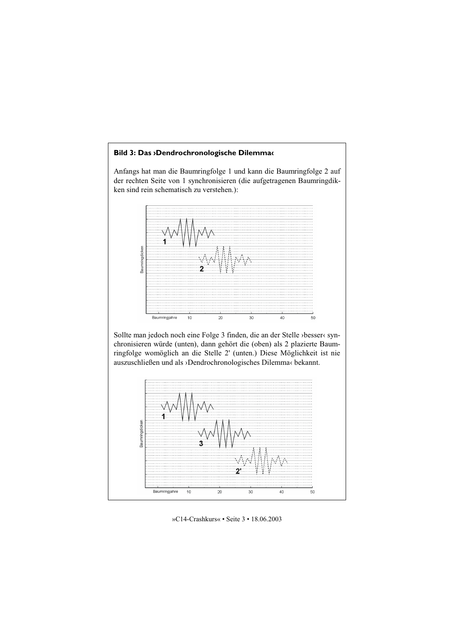## Bild 3: Das >Dendrochronologische Dilemma‹

Anfangs hat man die Baumringfolge 1 und kann die Baumringfolge 2 auf der rechten Seite von 1 synchronisieren (die aufgetragenen Baumringdikken sind rein schematisch zu verstehen.):



Sollte man jedoch noch eine Folge 3 finden, die an der Stelle >besser< synchronisieren würde (unten), dann gehört die (oben) als 2 plazierte Baumringfolge womöglich an die Stelle 2' (unten.) Diese Möglichkeit ist nie auszuschließen und als ›Dendrochronologisches Dilemma‹ bekannt.



»C14-Crashkurs« • Seite 3 • 18.06.2003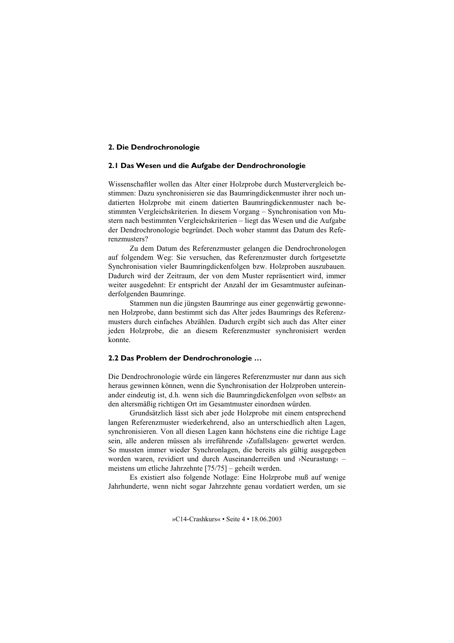## 2. Die Dendrochronologie

#### 2.1 Das Wesen und die Aufgabe der Dendrochronologie

Wissenschaftler wollen das Alter einer Holzprobe durch Mustervergleich bestimmen: Dazu synchronisieren sie das Baumringdickenmuster ihrer noch undatierten Holzprobe mit einem datierten Baumringdickenmuster nach bestimmten Vergleichskriterien. In diesem Vorgang – Synchronisation von Mustern nach bestimmten Vergleichskriterien – liegt das Wesen und die Aufgabe der Dendrochronologie begründet. Doch woher stammt das Datum des Referenzmusters?

Zu dem Datum des Referenzmuster gelangen die Dendrochronologen auf folgendem Weg: Sie versuchen, das Referenzmuster durch fortgesetzte Synchronisation vieler Baumringdickenfolgen bzw. Holzproben auszubauen. Dadurch wird der Zeitraum, der von dem Muster repräsentiert wird, immer weiter ausgedehnt: Er entspricht der Anzahl der im Gesamtmuster aufeinanderfolgenden Baumringe.

Stammen nun die jüngsten Baumringe aus einer gegenwärtig gewonnenen Holzprobe, dann bestimmt sich das Alter jedes Baumrings des Referenzmusters durch einfaches Abzählen. Dadurch ergibt sich auch das Alter einer jeden Holzprobe, die an diesem Referenzmuster synchronisiert werden konnte.

#### 2.2 Das Problem der Dendrochronologie ...

Die Dendrochronologie würde ein längeres Referenzmuster nur dann aus sich heraus gewinnen können, wenn die Synchronisation der Holzproben untereinander eindeutig ist, d.h. wenn sich die Baumringdickenfolgen »von selbst« an den altersmäßig richtigen Ort im Gesamtmuster einordnen würden.

Grundsätzlich lässt sich aber jede Holzprobe mit einem entsprechend langen Referenzmuster wiederkehrend, also an unterschiedlich alten Lagen, synchronisieren. Von all diesen Lagen kann höchstens eine die richtige Lage sein, alle anderen müssen als irreführende >Zufallslagen‹ gewertet werden. So mussten immer wieder Synchronlagen, die bereits als gültig ausgegeben worden waren, revidiert und durch Auseinanderreißen und ›Neurastung‹ meistens um etliche Jahrzehnte  $[75/75]$  – geheilt werden.

Es existiert also folgende Notlage: Eine Holzprobe muß auf wenige Jahrhunderte, wenn nicht sogar Jahrzehnte genau vordatiert werden, um sie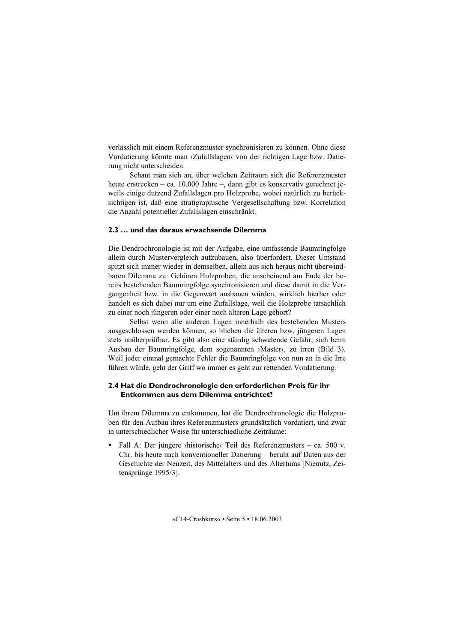verlässlich mit einem Referenzmuster synchronisieren zu können. Ohne diese Vordatierung könnte man >Zufallslagen< von der richtigen Lage bzw. Datierung nicht unterscheiden.

Schaut man sich an. über welchen Zeitraum sich die Referenzmuster heute erstrecken – ca. 10.000 Jahre –, dann gibt es konservativ gerechnet jeweils einige dutzend Zufallslagen pro Holzprobe, wobei natürlich zu berücksichtigen ist, daß eine stratigraphische Vergesellschaftung bzw. Korrelation die Anzahl potentieller Zufallslagen einschränkt.

## 2.3 ... und das daraus erwachsende Dilemma

Die Dendrochronologie ist mit der Aufgabe, eine umfassende Baumringfolge allein durch Mustervergleich aufzubauen, also überfordert. Dieser Umstand spitzt sich immer wieder in demselben, allein aus sich heraus nicht überwindbaren Dilemma zu: Gehören Holzproben, die anscheinend am Ende der bereits bestehenden Baumringfolge synchronisieren und diese damit in die Vergangenheit bzw. in die Gegenwart ausbauen würden, wirklich hierher oder handelt es sich dabei nur um eine Zufallslage, weil die Holzprobe tatsächlich zu einer noch jüngeren oder einer noch älteren Lage gehört?

Selbst wenn alle anderen Lagen innerhalb des bestehenden Musters ausgeschlossen werden können, so blieben die älteren bzw. jüngeren Lagen stets unüberprüfbar. Es gibt also eine ständig schwelende Gefahr, sich beim Ausbau der Baumringfolge, dem sogenannten »Master«, zu irren (Bild 3). Weil jeder einmal gemachte Fehler die Baumringfolge von nun an in die Irre führen würde, geht der Griff wo immer es geht zur rettenden Vordatierung.

# 2.4 Hat die Dendrochronologie den erforderlichen Preis für ihr Entkommen aus dem Dilemma entrichtet?

Um ihrem Dilemma zu entkommen, hat die Dendrochronologie die Holzproben für den Aufbau ihres Referenzmusters grundsätzlich vordatiert, und zwar in unterschiedlicher Weise für unterschiedliche Zeiträume:

Fall A: Der jüngere >historische<br/>  $\epsilon$  Teil des Referenzmusters – ca. 500 v. Chr. bis heute nach konventioneller Datierung – beruht auf Daten aus der Geschichte der Neuzeit, des Mittelalters und des Altertums [Niemitz, Zeitensprünge 1995/3].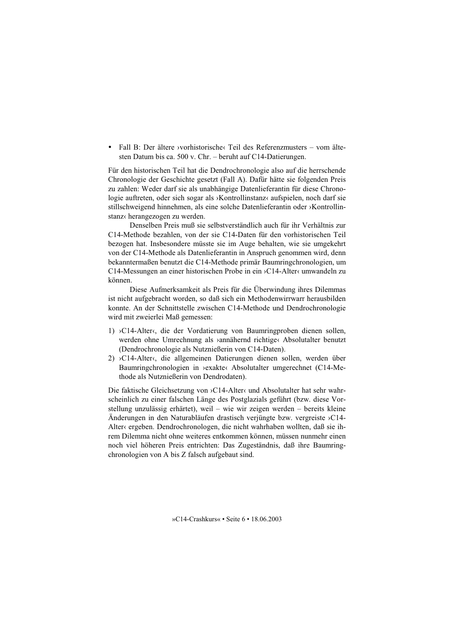Fall B: Der ältere >vorhistorische< Teil des Referenzmusters – vom ältesten Datum bis ca. 500 v. Chr. - beruht auf C14-Datierungen.

Für den historischen Teil hat die Dendrochronologie also auf die herrschende Chronologie der Geschichte gesetzt (Fall A). Dafür hätte sie folgenden Preis zu zahlen: Weder darf sie als unabhängige Datenlieferantin für diese Chronologie auftreten, oder sich sogar als >Kontrollinstanz< aufspielen, noch darf sie stillschweigend hinnehmen, als eine solche Datenlieferantin oder >Kontrollinstanz« herangezogen zu werden.

Denselben Preis muß sie selbstverständlich auch für ihr Verhältnis zur C14-Methode bezahlen, von der sie C14-Daten für den vorhistorischen Teil bezogen hat. Insbesondere müsste sie im Auge behalten, wie sie umgekehrt von der C14-Methode als Datenlieferantin in Anspruch genommen wird, denn bekanntermaßen benutzt die C14-Methode primär Baumringchronologien, um C14-Messungen an einer historischen Probe in ein >C14-Alter‹ umwandeln zu können.

Diese Aufmerksamkeit als Preis für die Überwindung ihres Dilemmas ist nicht aufgebracht worden, so daß sich ein Methodenwirrwarr herausbilden konnte. An der Schnittstelle zwischen C14-Methode und Dendrochronologie wird mit zweierlei Maß gemessen:

- 1) >C14-Alter, die der Vordatierung von Baumringproben dienen sollen, werden ohne Umrechnung als >annähernd richtige< Absolutalter benutzt (Dendrochronologie als Nutznießerin von C14-Daten).
- $2)$  >C14-Alter $\langle$ , die allgemeinen Datierungen dienen sollen, werden über Baumringchronologien in >exakte< Absolutalter umgerechnet (C14-Methode als Nutznießerin von Dendrodaten).

Die faktische Gleichsetzung von >C14-Alter< und Absolutalter hat sehr wahrscheinlich zu einer falschen Länge des Postglazials geführt (bzw. diese Vorstellung unzulässig erhärtet), weil – wie wir zeigen werden – bereits kleine Anderungen in den Naturabläufen drastisch verjüngte bzw. vergreiste >C14-Alter<br/>< ergeben. Dendrochronologen, die nicht wahrhaben wollten, daß sie ihrem Dilemma nicht ohne weiteres entkommen können, müssen nunmehr einen noch viel höheren Preis entrichten: Das Zugeständnis, daß ihre Baumringchronologien von A bis Z falsch aufgebaut sind.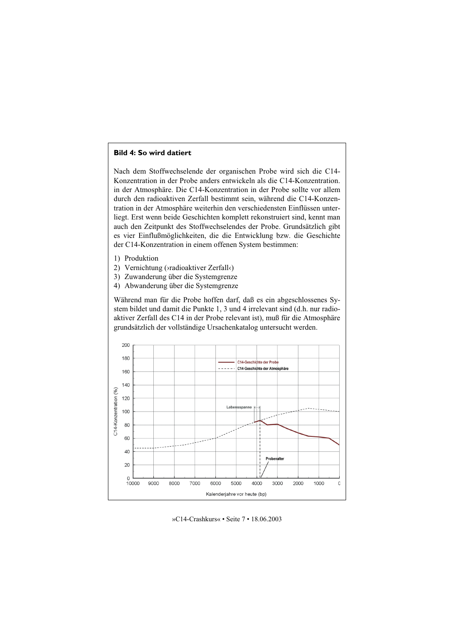# **Bild 4: So wird datiert**

Nach dem Stoffwechselende der organischen Probe wird sich die C14-Konzentration in der Probe anders entwickeln als die C14-Konzentration. in der Atmosphäre. Die C14-Konzentration in der Probe sollte vor allem durch den radioaktiven Zerfall bestimmt sein, während die C14-Konzentration in der Atmosphäre weiterhin den verschiedensten Einflüssen unterliegt. Erst wenn beide Geschichten komplett rekonstruiert sind, kennt man auch den Zeitpunkt des Stoffwechselendes der Probe. Grundsätzlich gibt es vier Einflußmöglichkeiten, die die Entwicklung bzw. die Geschichte der C14-Konzentration in einem offenen System bestimmen:

- 1) Produktion
- 2) Vernichtung (>radioaktiver Zerfall<)
- 3) Zuwanderung über die Systemgrenze
- 4) Abwanderung über die Systemgrenze

Während man für die Probe hoffen darf, daß es ein abgeschlossenes System bildet und damit die Punkte 1, 3 und 4 irrelevant sind (d.h. nur radioaktiver Zerfall des C14 in der Probe relevant ist), muß für die Atmosphäre grundsätzlich der vollständige Ursachenkatalog untersucht werden.

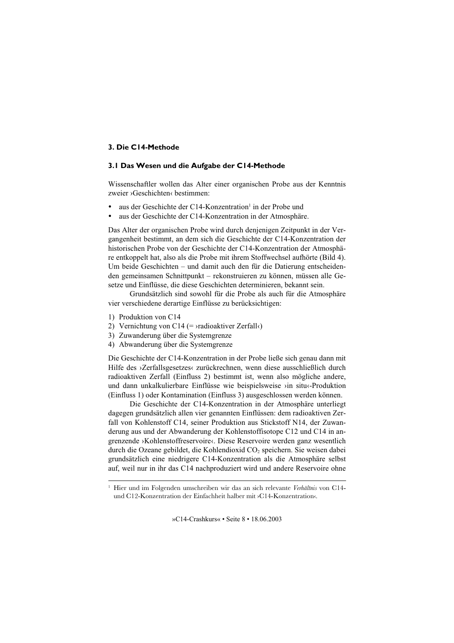# 3. Die C14-Methode

# 3.1 Das Wesen und die Aufgabe der C14-Methode

Wissenschaftler wollen das Alter einer organischen Probe aus der Kenntnis zweier >Geschichten<br/>
kestimmen:

- aus der Geschichte der C14-Konzentration<sup>1</sup> in der Probe und
- aus der Geschichte der C14-Konzentration in der Atmosphäre.

Das Alter der organischen Probe wird durch den einenigen Zeitpunkt in der Vergangenheit bestimmt, an dem sich die Geschichte der C14-Konzentration der historischen Probe von der Geschichte der C14-Konzentration der Atmosphäre entkoppelt hat, also als die Probe mit ihrem Stoffwechsel aufhörte (Bild 4). Um beide Geschichten – und damit auch den für die Datierung entscheidenden gemeinsamen Schnittpunkt – rekonstruieren zu können, müssen alle Gesetze und Einflüsse, die diese Geschichten determinieren, bekannt sein.

Grundsätzlich sind sowohl für die Probe als auch für die Atmosphäre vier verschiedene derartige Einflüsse zu berücksichtigen:

- 1) Produktion von C14
- 2) Vernichtung von C14 (=  $\rightarrow$ radioaktiver Zerfall $\left\langle \right\rangle$
- 3) Zuwanderung über die Systemgrenze
- 4) Abwanderung über die Systemgrenze

Die Geschichte der C14-Konzentration in der Probe ließe sich genau dann mit Hilfe des >Zerfallsgesetzes< zurückrechnen, wenn diese ausschließlich durch radioaktiven Zerfall (Einfluss 2) bestimmt ist, wenn also mögliche andere, und dann unkalkulierbare Einflüsse wie beispielsweise >in situ<-Produktion (Einfluss 1) oder Kontamination (Einfluss 3) ausgeschlossen werden können.

Die Geschichte der C14-Konzentration in der Atmosphäre unterliegt dagegen grundsätzlich allen vier genannten Einflüssen: dem radioaktiven Zerfall von Kohlenstoff C14, seiner Produktion aus Stickstoff N14, der Zuwanderung aus und der Abwanderung der Kohlenstoffisotope C12 und C14 in angrenzende >Kohlenstoffreservoire<. Diese Reservoire werden ganz wesentlich durch die Ozeane gebildet, die Kohlendioxid CO<sub>2</sub> speichern. Sie weisen dabei grundsätzlich eine niedrigere C14-Konzentration als die Atmosphäre selbst auf, weil nur in ihr das C14 nachproduziert wird und andere Reservoire ohne

<sup>&</sup>lt;sup>1</sup> Hier und im Folgenden umschreiben wir das an sich relevante Verhältnis von C14und C12-Konzentration der Einfachheit halber mit >C14-Konzentration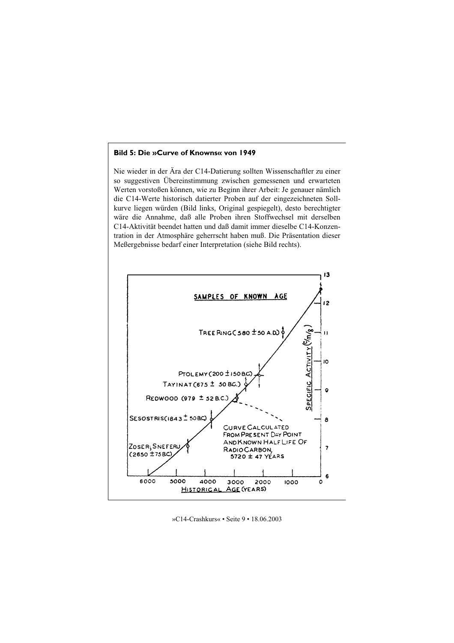# **Bild 5: Die »Curve of Knowns« von 1949**

Nie wieder in der Ära der C14-Datierung sollten Wissenschaftler zu einer so suggestiven Übereinstimmung zwischen gemessenen und erwarteten Werten vorstoßen können, wie zu Beginn ihrer Arbeit: Je genauer nämlich die C14-Werte historisch datierter Proben auf der eingezeichneten Sollkurve liegen würden (Bild links, Original gespiegelt), desto berechtigter wäre die Annahme, daß alle Proben ihren Stoffwechsel mit derselben C14-Aktivität beendet hatten und daß damit immer dieselbe C14-Konzentration in der Atmosphäre geherrscht haben muß. Die Präsentation dieser Meßergebnisse bedarf einer Interpretation (siehe Bild rechts).

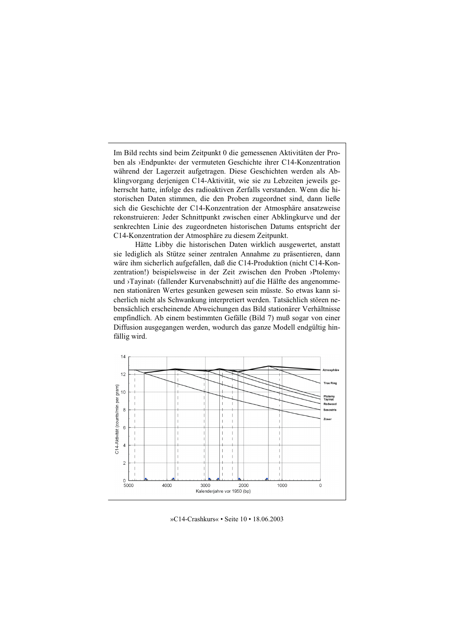Im Bild rechts sind beim Zeitpunkt 0 die gemessenen Aktivitäten der Proben als ›Endpunkte‹ der vermuteten Geschichte ihrer C14-Konzentration während der Lagerzeit aufgetragen. Diese Geschichten werden als Abklingvorgang derjenigen C14-Aktivität, wie sie zu Lebzeiten jeweils geherrscht hatte, infolge des radioaktiven Zerfalls verstanden. Wenn die historischen Daten stimmen, die den Proben zugeordnet sind, dann ließe sich die Geschichte der C14-Konzentration der Atmosphäre ansatzweise rekonstruieren: Jeder Schnittpunkt zwischen einer Abklingkurve und der senkrechten Linie des zugeordneten historischen Datums entspricht der C14-Konzentration der Atmosphäre zu diesem Zeitpunkt.

Hätte Libby die historischen Daten wirklich ausgewertet, anstatt sie lediglich als Stütze seiner zentralen Annahme zu präsentieren, dann wäre ihm sicherlich aufgefallen, daß die C14-Produktion (nicht C14-Konzentration!) beispielsweise in der Zeit zwischen den Proben ›Ptolemy‹ und >Tayinat‹ (fallender Kurvenabschnitt) auf die Hälfte des angenommenen stationären Wertes gesunken gewesen sein müsste. So etwas kann sicherlich nicht als Schwankung interpretiert werden. Tatsächlich stören nebensächlich erscheinende Abweichungen das Bild stationärer Verhältnisse empfindlich. Ab einem bestimmten Gefälle (Bild 7) muß sogar von einer Diffusion ausgegangen werden, wodurch das ganze Modell endgültig hinfällig wird.



»C14-Crashkurs« • Seite 10 • 18.06.2003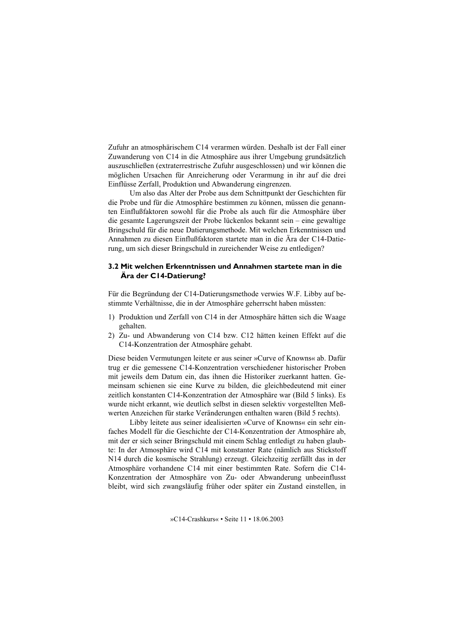Zufuhr an atmosphärischem C14 verarmen würden. Deshalb ist der Fall einer Zuwanderung von C14 in die Atmosphäre aus ihrer Umgebung grundsätzlich auszuschließen (extraterrestrische Zufuhr ausgeschlossen) und wir können die möglichen Ursachen für Anreicherung oder Verarmung in ihr auf die drei Einflüsse Zerfall, Produktion und Abwanderung eingrenzen.

Um also das Alter der Probe aus dem Schnittpunkt der Geschichten für die Probe und für die Atmosphäre bestimmen zu können, müssen die genannten Einflußfaktoren sowohl für die Probe als auch für die Atmosphäre über die gesamte Lagerungszeit der Probe lückenlos bekannt sein – eine gewaltige Bringschuld für die neue Datierungsmethode. Mit welchen Erkenntnissen und Annahmen zu diesen Einflußfaktoren startete man in die Ära der C14-Datierung, um sich dieser Bringschuld in zureichender Weise zu entledigen?

# 3.2 Mit welchen Erkenntnissen und Annahmen startete man in die Ära der C14-Datierung?

Für die Begründung der C14-Datierungsmethode verwies W.F. Libby auf bestimmte Verhältnisse, die in der Atmosphäre geherrscht haben müssten:

- 1) Produktion und Zerfall von C14 in der Atmosphäre hätten sich die Waage gehalten.
- 2) Zu- und Abwanderung von C14 bzw. C12 hätten keinen Effekt auf die C14-Konzentration der Atmosphäre gehabt.

Diese beiden Vermutungen leitete er aus seiner »Curve of Knowns« ab. Dafür trug er die gemessene C14-Konzentration verschiedener historischer Proben mit jeweils dem Datum ein, das ihnen die Historiker zuerkannt hatten. Gemeinsam schienen sie eine Kurve zu bilden, die gleichbedeutend mit einer zeitlich konstanten C14-Konzentration der Atmosphäre war (Bild 5 links). Es wurde nicht erkannt, wie deutlich selbst in diesen selektiv vorgestellten Meßwerten Anzeichen für starke Veränderungen enthalten waren (Bild 5 rechts).

Libby leitete aus seiner idealisierten »Curve of Knowns« ein sehr einfaches Modell für die Geschichte der C14-Konzentration der Atmosphäre ab, mit der er sich seiner Bringschuld mit einem Schlag entledigt zu haben glaubte: In der Atmosphäre wird C14 mit konstanter Rate (nämlich aus Stickstoff N14 durch die kosmische Strahlung) erzeugt. Gleichzeitig zerfällt das in der Atmosphäre vorhandene C14 mit einer bestimmten Rate. Sofern die C14-Konzentration der Atmosphäre von Zu- oder Abwanderung unbeeinflusst bleibt, wird sich zwangsläufig früher oder später ein Zustand einstellen, in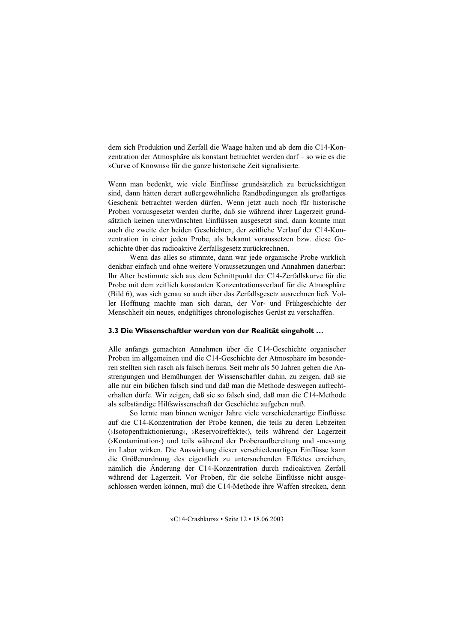dem sich Produktion und Zerfall die Waage halten und ab dem die C14-Konzentration der Atmosphäre als konstant betrachtet werden darf – so wie es die »Curve of Knowns« für die ganze historische Zeit signalisierte.

Wenn man bedenkt, wie viele Einflüsse grundsätzlich zu berücksichtigen sind, dann hätten derart außergewöhnliche Randbedingungen als großartiges Geschenk betrachtet werden dürfen. Wenn jetzt auch noch für historische Proben vorausgesetzt werden durfte, daß sie während ihrer Lagerzeit grundsätzlich keinen unerwünschten Einflüssen ausgesetzt sind, dann konnte man auch die zweite der beiden Geschichten, der zeitliche Verlauf der C14-Konzentration in einer jeden Probe, als bekannt voraussetzen bzw. diese Geschichte über das radioaktive Zerfallsgesetz zurückrechnen.

Wenn das alles so stimmte, dann war jede organische Probe wirklich denkbar einfach und ohne weitere Voraussetzungen und Annahmen datierbar: Ihr Alter bestimmte sich aus dem Schnittpunkt der C14-Zerfallskurve für die Probe mit dem zeitlich konstanten Konzentrationsverlauf für die Atmosphäre (Bild 6), was sich genau so auch über das Zerfallsgesetz ausrechnen ließ. Voller Hoffnung machte man sich daran, der Vor- und Frühgeschichte der Menschheit ein neues, endgültiges chronologisches Gerüst zu verschaffen.

## 3.3 Die Wissenschaftler werden von der Realität eingeholt ...

Alle anfangs gemachten Annahmen über die C14-Geschichte organischer Proben im allgemeinen und die C14-Geschichte der Atmosphäre im besonderen stellten sich rasch als falsch heraus. Seit mehr als 50 Jahren gehen die Anstrengungen und Bemühungen der Wissenschaftler dahin, zu zeigen, daß sie alle nur ein bißchen falsch sind und daß man die Methode deswegen aufrechterhalten dürfe. Wir zeigen, daß sie so falsch sind, daß man die C14-Methode als selbständige Hilfswissenschaft der Geschichte aufgeben muß.

So lernte man binnen weniger Jahre viele verschiedenartige Einflüsse auf die C14-Konzentration der Probe kennen, die teils zu deren Lebzeiten (>Isotopenfraktionierung<, >Reservoireffekte<), teils während der Lagerzeit (>Kontamination<) und teils während der Probenaufbereitung und -messung im Labor wirken. Die Auswirkung dieser verschiedenartigen Einflüsse kann die Größenordnung des eigentlich zu untersuchenden Effektes erreichen, nämlich die Änderung der C14-Konzentration durch radioaktiven Zerfall während der Lagerzeit. Vor Proben, für die solche Einflüsse nicht ausgeschlossen werden können, muß die C14-Methode ihre Waffen strecken, denn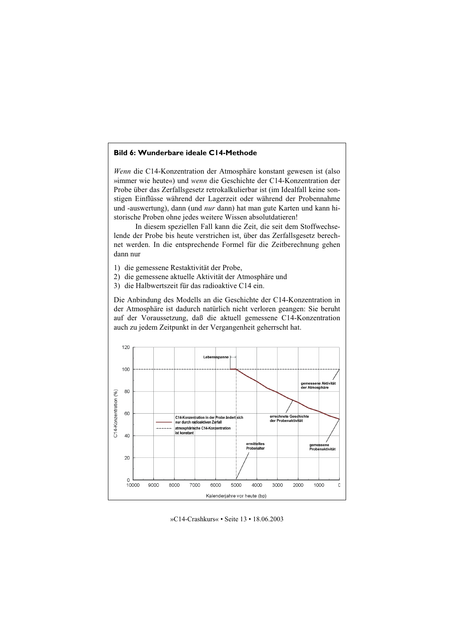# Bild 6: Wunderbare ideale C14-Methode

*Wenn* die C14-Konzentration der Atmosphäre konstant gewesen ist (also »immer wie heute«) und wenn die Geschichte der C14-Konzentration der Probe über das Zerfallsgesetz retrokalkulierbar ist (im Idealfall keine sonstigen Einflüsse während der Lagerzeit oder während der Probennahme und -auswertung), dann (und *nur* dann) hat man gute Karten und kann historische Proben ohne jedes weitere Wissen absolutdatieren!

In diesem speziellen Fall kann die Zeit, die seit dem Stoffwechselende der Probe bis heute verstrichen ist, über das Zerfallsgesetz berechnet werden. In die entsprechende Formel für die Zeitberechnung gehen dann nur

- 1) die gemessene Restaktivität der Probe,
- 2) die gemessene aktuelle Aktivität der Atmosphäre und
- 3) die Halbwertszeit für das radioaktive C14 ein.

Die Anbindung des Modells an die Geschichte der C14-Konzentration in der Atmosphäre ist dadurch natürlich nicht verloren geangen: Sie beruht auf der Voraussetzung, daß die aktuell gemessene C14-Konzentration auch zu jedem Zeitpunkt in der Vergangenheit geherrscht hat.



»C14-Crashkurs« • Seite 13 • 18.06.2003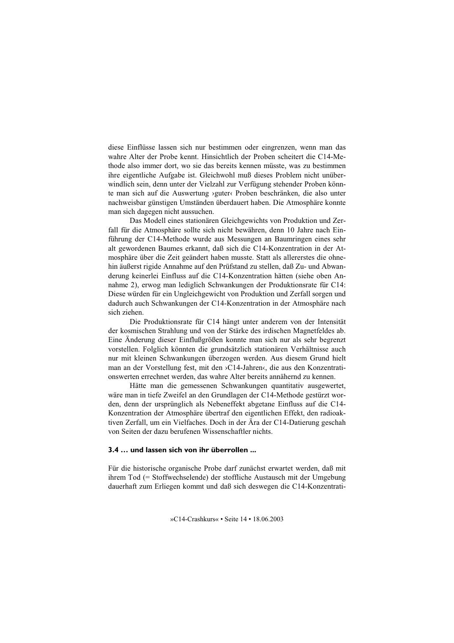diese Einflüsse lassen sich nur bestimmen oder eingrenzen, wenn man das wahre Alter der Probe kennt. Hinsichtlich der Proben scheitert die C14-Methode also immer dort, wo sie das bereits kennen müsste, was zu bestimmen ihre eigentliche Aufgabe ist. Gleichwohl muß dieses Problem nicht unüberwindlich sein, denn unter der Vielzahl zur Verfügung stehender Proben könnte man sich auf die Auswertung »guter« Proben beschränken, die also unter nachweisbar günstigen Umständen überdauert haben. Die Atmosphäre konnte man sich dagegen nicht aussuchen.

Das Modell eines stationären Gleichgewichts von Produktion und Zerfall für die Atmosphäre sollte sich nicht bewähren, denn 10 Jahre nach Einführung der C14-Methode wurde aus Messungen an Baumringen eines sehr alt gewordenen Baumes erkannt, daß sich die C14-Konzentration in der Atmosphäre über die Zeit geändert haben musste. Statt als allererstes die ohnehin äußerst rigide Annahme auf den Prüfstand zu stellen, daß Zu- und Abwanderung keinerlei Einfluss auf die C14-Konzentration hätten (siehe oben Annahme 2), erwog man lediglich Schwankungen der Produktionsrate für C14: Diese würden für ein Ungleichgewicht von Produktion und Zerfall sorgen und dadurch auch Schwankungen der C14-Konzentration in der Atmosphäre nach sich ziehen

Die Produktionsrate für C14 hängt unter anderem von der Intensität der kosmischen Strahlung und von der Stärke des irdischen Magnetfeldes ab. Eine Änderung dieser Einflußgrößen konnte man sich nur als sehr begrenzt vorstellen. Folglich könnten die grundsätzlich stationären Verhältnisse auch nur mit kleinen Schwankungen überzogen werden. Aus diesem Grund hielt man an der Vorstellung fest, mit den >C14-Jahren<br/>‹, die aus den Konzentrationswerten errechnet werden, das wahre Alter bereits annähernd zu kennen.

Hätte man die gemessenen Schwankungen quantitativ ausgewertet, wäre man in tiefe Zweifel an den Grundlagen der C14-Methode gestürzt worden, denn der ursprünglich als Nebeneffekt abgetane Einfluss auf die C14-Konzentration der Atmosphäre übertraf den eigentlichen Effekt, den radioaktiven Zerfall, um ein Vielfaches. Doch in der Ära der C14-Datierung geschah von Seiten der dazu berufenen Wissenschaftler nichts.

#### 3.4 ... und lassen sich von ihr überrollen ...

Für die historische organische Probe darf zunächst erwartet werden, daß mit ihrem Tod (= Stoffwechselende) der stoffliche Austausch mit der Umgebung dauerhaft zum Erliegen kommt und daß sich deswegen die C14-Konzentrati-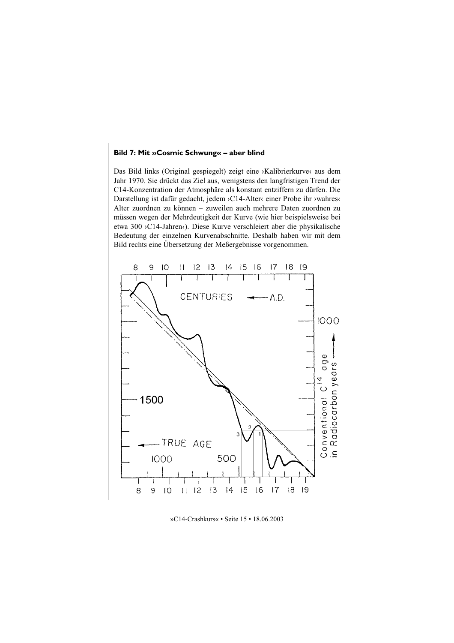## Bild 7: Mit »Cosmic Schwung« – aber blind

Das Bild links (Original gespiegelt) zeigt eine >Kalibrierkurve< aus dem Jahr 1970. Sie drückt das Ziel aus, wenigstens den langfristigen Trend der C14-Konzentration der Atmosphäre als konstant entziffern zu dürfen. Die Darstellung ist dafür gedacht, jedem >C14-Alter< einer Probe ihr >wahres< Alter zuordnen zu können – zuweilen auch mehrere Daten zuordnen zu müssen wegen der Mehrdeutigkeit der Kurve (wie hier beispielsweise bei etwa 300 > C14-Jahren <>>
c). Diese Kurve verschleiert aber die physikalische Bedeutung der einzelnen Kurvenabschnitte. Deshalb haben wir mit dem Bild rechts eine Übersetzung der Meßergebnisse vorgenommen.



»C14-Crashkurs« • Seite 15 • 18.06.2003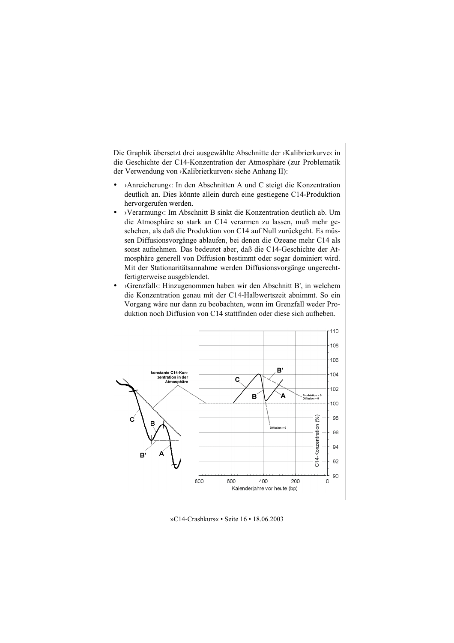Die Graphik übersetzt drei ausgewählte Abschnitte der ›Kalibrierkurve‹ in die Geschichte der C14-Konzentration der Atmosphäre (zur Problematik der Verwendung von »Kalibrierkurven« siehe Anhang II):

- >Anreicherung<br/>
: In den Abschnitten A und C steigt die Konzentration deutlich an. Dies könnte allein durch eine gestiegene C14-Produktion hervorgerufen werden.
- > Verarmung $\langle$ : Im Abschnitt B sinkt die Konzentration deutlich ab. Um die Atmosphäre so stark an C14 verarmen zu lassen, muß mehr geschehen, als daß die Produktion von C14 auf Null zurückgeht. Es müssen Diffusionsvorgänge ablaufen, bei denen die Ozeane mehr C14 als sonst aufnehmen. Das bedeutet aber, daß die C14-Geschichte der Atmosphäre generell von Diffusion bestimmt oder sogar dominiert wird. Mit der Stationaritätsannahme werden Diffusionsvorgänge ungerechtfertigterweise ausgeblendet.
- >Grenzfall<br/><: Hinzugenommen haben wir den Abschnitt B', in welchem die Konzentration genau mit der C14-Halbwertszeit abnimmt. So ein Vorgang wäre nur dann zu beobachten, wenn im Grenzfall weder Produktion noch Diffusion von C14 stattfinden oder diese sich aufheben.

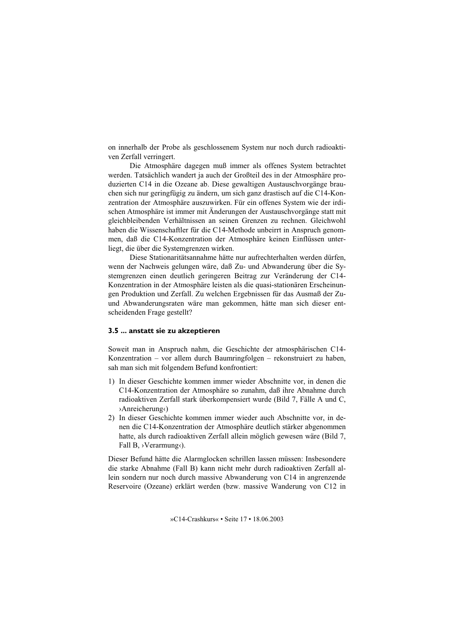on innerhalb der Probe als geschlossenem System nur noch durch radioaktiven Zerfall verringert.

Die Atmosphäre dagegen muß immer als offenes System betrachtet werden. Tatsächlich wandert ja auch der Großteil des in der Atmosphäre produzierten C14 in die Ozeane ab. Diese gewaltigen Austauschvorgänge brauchen sich nur geringfügig zu ändern, um sich ganz drastisch auf die C14-Konzentration der Atmosphäre auszuwirken. Für ein offenes System wie der irdischen Atmosphäre ist immer mit Änderungen der Austauschvorgänge statt mit gleichbleibenden Verhältnissen an seinen Grenzen zu rechnen. Gleichwohl haben die Wissenschaftler für die C14-Methode unbeirrt in Anspruch genommen, daß die C14-Konzentration der Atmosphäre keinen Einflüssen unterliegt, die über die Systemgrenzen wirken.

Diese Stationaritätsannahme hätte nur aufrechterhalten werden dürfen, wenn der Nachweis gelungen wäre, daß Zu- und Abwanderung über die Systemgrenzen einen deutlich geringeren Beitrag zur Veränderung der C14-Konzentration in der Atmosphäre leisten als die quasi-stationären Erscheinungen Produktion und Zerfall. Zu welchen Ergebnissen für das Ausmaß der Zuund Abwanderungsraten wäre man gekommen, hätte man sich dieser entscheidenden Frage gestellt?

## 3.5 ... anstatt sie zu akzeptieren

Soweit man in Anspruch nahm, die Geschichte der atmosphärischen C14-Konzentration – vor allem durch Baumringfolgen – rekonstruiert zu haben, sah man sich mit folgendem Befund konfrontiert:

- 1) In dieser Geschichte kommen immer wieder Abschnitte vor, in denen die C14-Konzentration der Atmosphäre so zunahm, daß ihre Abnahme durch radioaktiven Zerfall stark überkompensiert wurde (Bild 7, Fälle A und C, >Anreicherung<)
- 2) In dieser Geschichte kommen immer wieder auch Abschnitte vor. in denen die C14-Konzentration der Atmosphäre deutlich stärker abgenommen hatte, als durch radioaktiven Zerfall allein möglich gewesen wäre (Bild 7, Fall B,  $\rightarrow$ Verarmung $\langle$ ).

Dieser Befund hätte die Alarmglocken schrillen lassen müssen: Insbesondere die starke Abnahme (Fall B) kann nicht mehr durch radioaktiven Zerfall allein sondern nur noch durch massive Abwanderung von C14 in angrenzende Reservoire (Ozeane) erklärt werden (bzw. massive Wanderung von C12 in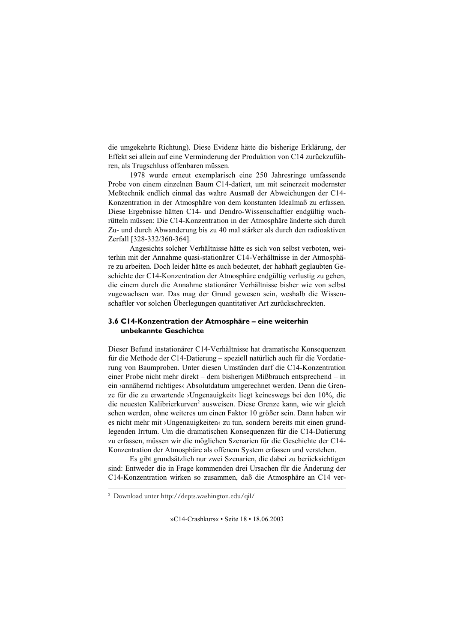die umgekehrte Richtung). Diese Evidenz hätte die bisherige Erklärung, der Effekt sei allein auf eine Verminderung der Produktion von C14 zurückzuführen, als Trugschluss offenbaren müssen.

1978 wurde erneut exemplarisch eine 250 Jahresringe umfassende Probe von einem einzelnen Baum C14-datiert, um mit seinerzeit modernster Meßtechnik endlich einmal das wahre Ausmaß der Abweichungen der C14-Konzentration in der Atmosphäre von dem konstanten Idealmaß zu erfassen. Diese Ergebnisse hätten C14- und Dendro-Wissenschaftler endgültig wachrütteln müssen: Die C14-Konzentration in der Atmosphäre änderte sich durch Zu- und durch Abwanderung bis zu 40 mal stärker als durch den radioaktiven Zerfall [328-332/360-364].

Angesichts solcher Verhältnisse hätte es sich von selbst verboten, weiterhin mit der Annahme quasi-stationärer C14-Verhältnisse in der Atmosphäre zu arbeiten. Doch leider hätte es auch bedeutet, der habhaft geglaubten Geschichte der C14-Konzentration der Atmosphäre endgültig verlustig zu gehen, die einem durch die Annahme stationärer Verhältnisse bisher wie von selbst zugewachsen war. Das mag der Grund gewesen sein, weshalb die Wissenschaftler vor solchen Überlegungen quantitativer Art zurückschreckten.

## 3.6 C14-Konzentration der Atmosphäre – eine weiterhin unbekannte Geschichte

Dieser Befund instationärer C14-Verhältnisse hat dramatische Konsequenzen für die Methode der C14-Datierung - speziell natürlich auch für die Vordatierung von Baumproben. Unter diesen Umständen darf die C14-Konzentration einer Probe nicht mehr direkt – dem bisherigen Mißbrauch entsprechend – in ein >annähernd richtiges< Absolutdatum umgerechnet werden. Denn die Grenze für die zu erwartende >Ungenauigkeit< liegt keineswegs bei den 10%, die die neuesten Kalibrierkurven<sup>2</sup> ausweisen. Diese Grenze kann, wie wir gleich sehen werden, ohne weiteres um einen Faktor 10 größer sein. Dann haben wir es nicht mehr mit >Ungenauigkeiten< zu tun, sondern bereits mit einen grundlegenden Irrtum. Um die dramatischen Konsequenzen für die C14-Datierung zu erfassen, müssen wir die möglichen Szenarien für die Geschichte der C14-Konzentration der Atmosphäre als offenem System erfassen und verstehen.

Es gibt grundsätzlich nur zwei Szenarien, die dabei zu berücksichtigen sind: Entweder die in Frage kommenden drei Ursachen für die Änderung der C14-Konzentration wirken so zusammen, daß die Atmosphäre an C14 ver-

<sup>&</sup>lt;sup>2</sup> Download unter http://depts.washington.edu/qil/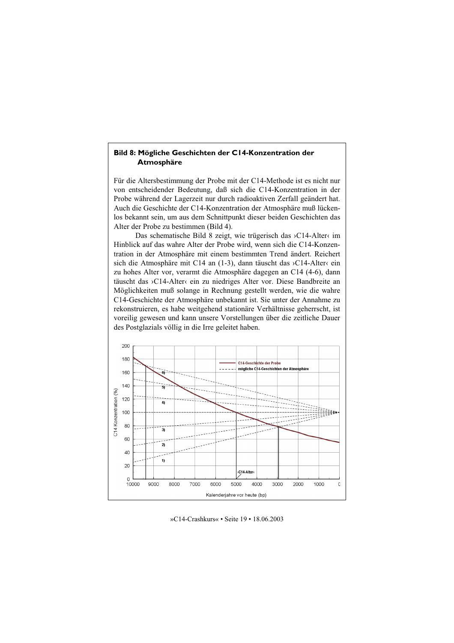## Bild 8: Mögliche Geschichten der C14-Konzentration der Atmosphäre

Für die Altersbestimmung der Probe mit der C14-Methode ist es nicht nur von entscheidender Bedeutung, daß sich die C14-Konzentration in der Probe während der Lagerzeit nur durch radioaktiven Zerfall geändert hat. Auch die Geschichte der C14-Konzentration der Atmosphäre muß lückenlos bekannt sein, um aus dem Schnittpunkt dieser beiden Geschichten das Alter der Probe zu bestimmen (Bild 4).

Das schematische Bild 8 zeigt, wie trügerisch das >C14-Alter< im Hinblick auf das wahre Alter der Probe wird, wenn sich die C14-Konzentration in der Atmosphäre mit einem bestimmten Trend ändert. Reichert sich die Atmosphäre mit C14 an (1-3), dann täuscht das >C14-Alter‹ ein zu hohes Alter vor, verarmt die Atmosphäre dagegen an C14 (4-6), dann täuscht das >C14-Alter‹ ein zu niedriges Alter vor. Diese Bandbreite an Möglichkeiten muß solange in Rechnung gestellt werden, wie die wahre C14-Geschichte der Atmosphäre unbekannt ist. Sie unter der Annahme zu rekonstruieren, es habe weitgehend stationäre Verhältnisse geherrscht, ist voreilig gewesen und kann unsere Vorstellungen über die zeitliche Dauer des Postglazials völlig in die Irre geleitet haben.



»C14-Crashkurs« • Seite 19 • 18.06.2003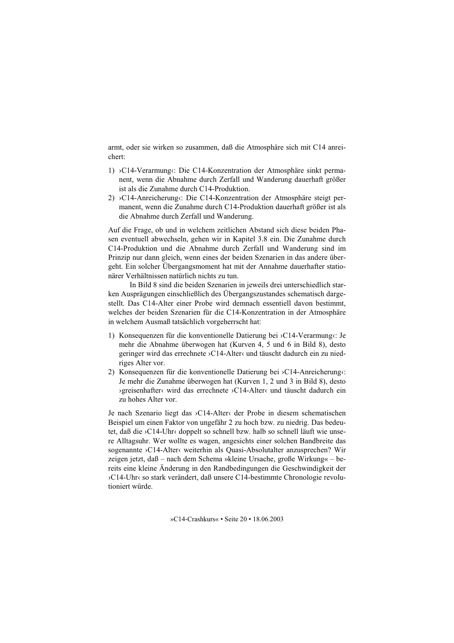armt, oder sie wirken so zusammen, daß die Atmosphäre sich mit C14 anrei $charf$ 

- 1) >C14-Verarmung<br/>c: Die C14-Konzentration der Atmosphäre sinkt permanent, wenn die Abnahme durch Zerfall und Wanderung dauerhaft größer ist als die Zunahme durch C14-Produktion.
- 2) >C14-Anreicherung<br/>c: Die C14-Konzentration der Atmosphäre steigt permanent, wenn die Zunahme durch C14-Produktion dauerhaft größer ist als die Abnahme durch Zerfall und Wanderung.

Auf die Frage, ob und in welchem zeitlichen Abstand sich diese beiden Phasen eventuell abwechseln, gehen wir in Kapitel 3.8 ein. Die Zunahme durch C14-Produktion und die Abnahme durch Zerfall und Wanderung sind im Prinzip nur dann gleich, wenn eines der beiden Szenarien in das andere übergeht. Ein solcher Übergangsmoment hat mit der Annahme dauerhafter stationärer Verhältnissen natürlich nichts zu tun.

In Bild 8 sind die beiden Szenarien in jeweils drei unterschiedlich starken Ausprägungen einschließlich des Übergangszustandes schematisch dargestellt. Das C14-Alter einer Probe wird demnach essentiell davon bestimmt. welches der beiden Szenarien für die C14-Konzentration in der Atmosphäre in welchem Ausmaß tatsächlich vorgeherrscht hat:

- 1) Konsequenzen für die konventionelle Datierung bei >C14-Verarmung‹: Je mehr die Abnahme überwogen hat (Kurven 4, 5 und 6 in Bild 8), desto geringer wird das errechnete >C14-Alter und täuscht dadurch ein zu niedriges Alter vor.
- 2) Konsequenzen für die konventionelle Datierung bei >C14-Anreicherung< Je mehr die Zunahme überwogen hat (Kurven 1, 2 und 3 in Bild 8), desto ∢greisenhafter< wird das errechnete >C14-Alter< und täuscht dadurch ein zu hohes Alter vor

Je nach Szenario liegt das >C14-Alter< der Probe in diesem schematischen Beispiel um einen Faktor von ungefähr 2 zu hoch bzw. zu niedrig. Das bedeutet, daß die >C14-Uhr‹ doppelt so schnell bzw. halb so schnell läuft wie unsere Alltagsuhr. Wer wollte es wagen, angesichts einer solchen Bandbreite das sogenannte > C14-Alter< weiterhin als Quasi-Absolutalter anzusprechen? Wir zeigen jetzt, daß – nach dem Schema »kleine Ursache, große Wirkung« – bereits eine kleine Änderung in den Randbedingungen die Geschwindigkeit der >C14-Uhr< so stark verändert, daß unsere C14-bestimmte Chronologie revolutioniert würde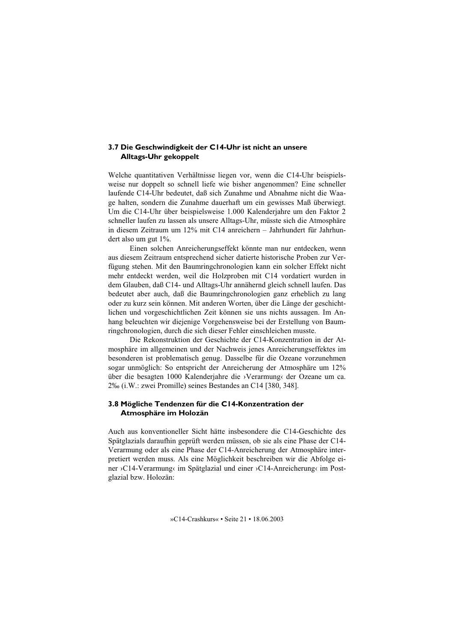## 3.7 Die Geschwindigkeit der C14-Uhr ist nicht an unsere **Alltags-Uhr gekoppelt**

Welche quantitativen Verhältnisse liegen vor, wenn die C14-Uhr beispielsweise nur doppelt so schnell liefe wie bisher angenommen? Eine schneller laufende C14-Uhr bedeutet, daß sich Zunahme und Abnahme nicht die Waage halten, sondern die Zunahme dauerhaft um ein gewisses Maß überwiegt. Um die C14-Uhr über beispielsweise 1.000 Kalenderjahre um den Faktor 2 schneller laufen zu lassen als unsere Alltags-Uhr, müsste sich die Atmosphäre in diesem Zeitraum um 12% mit C14 anreichern – Jahrhundert für Jahrhundert also um gut  $1\%$ .

Einen solchen Anreicherungseffekt könnte man nur entdecken, wenn aus diesem Zeitraum entsprechend sicher datierte historische Proben zur Verfügung stehen. Mit den Baumringchronologien kann ein solcher Effekt nicht mehr entdeckt werden, weil die Holzproben mit C14 vordatiert wurden in dem Glauben, daß C14- und Alltags-Uhr annähernd gleich schnell laufen. Das bedeutet aber auch, daß die Baumringchronologien ganz erheblich zu lang oder zu kurz sein können. Mit anderen Worten, über die Länge der geschichtlichen und vorgeschichtlichen Zeit können sie uns nichts aussagen. Im Anhang beleuchten wir diejenige Vorgehensweise bei der Erstellung von Baumringchronologien, durch die sich dieser Fehler einschleichen musste.

Die Rekonstruktion der Geschichte der C14-Konzentration in der Atmosphäre im allgemeinen und der Nachweis jenes Anreicherungseffektes im besonderen ist problematisch genug. Dasselbe für die Ozeane vorzunehmen sogar unmöglich: So entspricht der Anreicherung der Atmosphäre um 12% über die besagten 1000 Kalenderjahre die >Verarmung der Ozeane um ca. 2‰ (i.W.: zwei Promille) seines Bestandes an C14 [380, 348].

## 3.8 Mögliche Tendenzen für die C14-Konzentration der Atmosphäre im Holozän

Auch aus konventioneller Sicht hätte insbesondere die C14-Geschichte des Spätglazials daraufhin geprüft werden müssen, ob sie als eine Phase der C14-Verarmung oder als eine Phase der C14-Anreicherung der Atmosphäre interpretiert werden muss. Als eine Möglichkeit beschreiben wir die Abfolge einer >C14-Verarmung< im Spätglazial und einer >C14-Anreicherung< im Postglazial bzw. Holozän: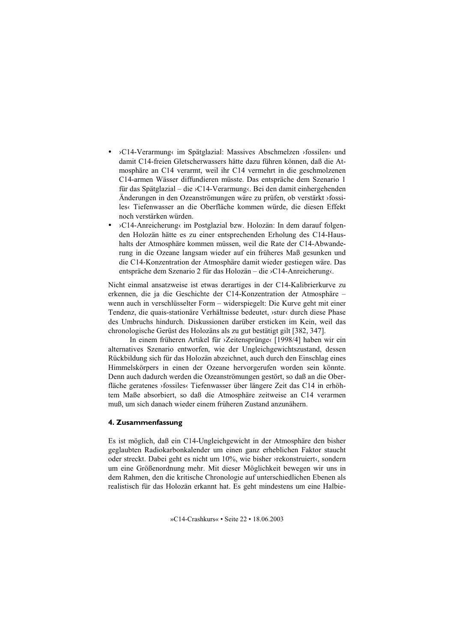- >C14-Verarmung< im Spätglazial: Massives Abschmelzen >fossilen< und damit C14-freien Gletscherwassers hätte dazu führen können, daß die Atmosphäre an C14 verarmt, weil ihr C14 vermehrt in die geschmolzenen C14-armen Wässer diffundieren müsste. Das entspräche dem Szenario 1 für das Spätglazial – die >C14-Verarmung‹. Bei den damit einhergehenden Änderungen in den Ozeanströmungen wäre zu prüfen, ob verstärkt >fossiles Tiefenwasser an die Oberfläche kommen würde, die diesen Effekt noch verstärken würden
- >C14-Anreicherung< im Postglazial bzw. Holozän: In dem darauf folgenden Holozän hätte es zu einer entsprechenden Erholung des C14-Haushalts der Atmosphäre kommen müssen, weil die Rate der C14-Abwanderung in die Ozeane langsam wieder auf ein früheres Maß gesunken und die C14-Konzentration der Atmosphäre damit wieder gestiegen wäre. Das entspräche dem Szenario 2 für das Holozän – die >C14-Anreicherung‹.

Nicht einmal ansatzweise ist etwas derartiges in der C14-Kalibrierkurve zu erkennen, die ja die Geschichte der C14-Konzentration der Atmosphäre wenn auch in verschlüsselter Form – widerspiegelt: Die Kurve geht mit einer Tendenz, die quais-stationäre Verhältnisse bedeutet, »stur« durch diese Phase des Umbruchs hindurch. Diskussionen darüber ersticken im Kein, weil das chronologische Gerüst des Holozäns als zu gut bestätigt gilt [382, 347].

In einem früheren Artikel für >Zeitensprünge‹ [1998/4] haben wir ein alternatives Szenario entworfen, wie der Ungleichgewichtszustand, dessen Rückbildung sich für das Holozän abzeichnet, auch durch den Einschlag eines Himmelskörpers in einen der Ozeane hervorgerufen worden sein könnte. Denn auch dadurch werden die Ozeanströmungen gestört, so daß an die Oberfläche geratenes »fossiles« Tiefenwasser über längere Zeit das C14 in erhöhtem Maße absorbiert, so daß die Atmosphäre zeitweise an C14 verarmen muß, um sich danach wieder einem früheren Zustand anzunähern.

## 4. Zusammenfassung

Es ist möglich, daß ein C14-Ungleichgewicht in der Atmosphäre den bisher geglaubten Radiokarbonkalender um einen ganz erheblichen Faktor staucht oder streckt. Dabei geht es nicht um 10%, wie bisher >rekonstruiert<, sondern um eine Größenordnung mehr. Mit dieser Möglichkeit bewegen wir uns in dem Rahmen, den die kritische Chronologie auf unterschiedlichen Ebenen als realistisch für das Holozän erkannt hat. Es geht mindestens um eine Halbie-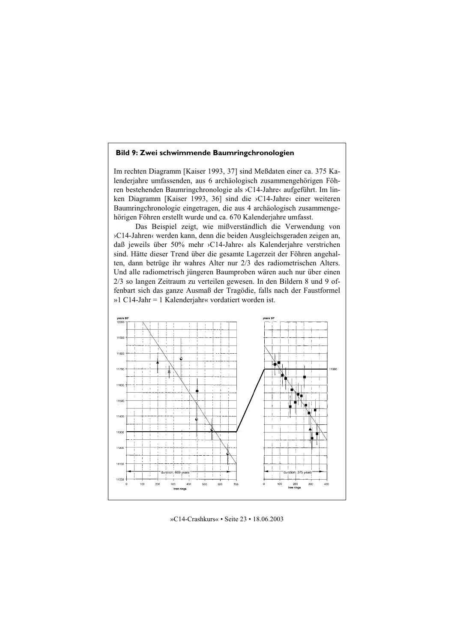## Bild 9: Zwei schwimmende Baumringchronologien

Im rechten Diagramm [Kaiser 1993, 37] sind Meßdaten einer ca. 375 Kalenderiahre umfassenden, aus 6 archäologisch zusammengehörigen Föhren bestehenden Baumringchronologie als >C14-Jahre<br/>
daufgeführt. Im linken Diagramm [Kaiser 1993, 36] sind die >C14-Jahre< einer weiteren Baumringchronologie eingetragen, die aus 4 archäologisch zusammengehörigen Föhren erstellt wurde und ca. 670 Kalenderjahre umfasst.

Das Beispiel zeigt, wie mißverständlich die Verwendung von >C14-Jahren<br/>
verden kann, denn die beiden Ausgleichsgeraden zeigen an, daß jeweils über 50% mehr >C14-Jahre< als Kalenderjahre verstrichen sind. Hätte dieser Trend über die gesamte Lagerzeit der Föhren angehalten, dann betrüge ihr wahres Alter nur 2/3 des radiometrischen Alters. Und alle radiometrisch jüngeren Baumproben wären auch nur über einen 2/3 so langen Zeitraum zu verteilen gewesen. In den Bildern 8 und 9 offenbart sich das ganze Ausmaß der Tragödie, falls nach der Faustformel »1 C14-Jahr = 1 Kalenderjahr« vordatiert worden ist.



»C14-Crashkurs« • Seite 23 • 18.06.2003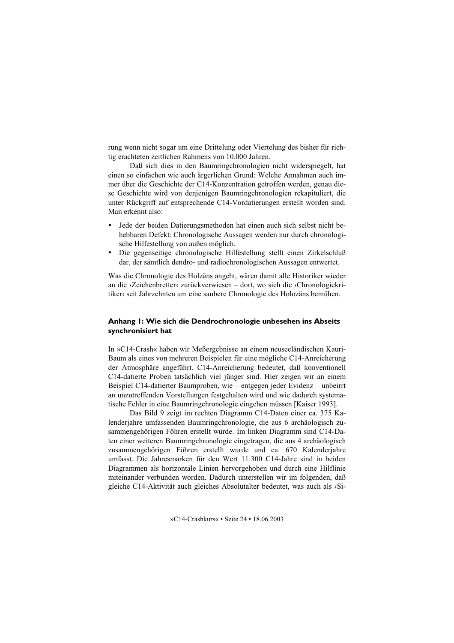rung wenn nicht sogar um eine Drittelung oder Viertelung des bisher für richtig erachteten zeitlichen Rahmens von 10.000 Jahren.

Daß sich dies in den Baumringchronologien nicht widerspiegelt, hat einen so einfachen wie auch ärgerlichen Grund: Welche Annahmen auch immer über die Geschichte der C14-Konzentration getroffen werden, genau diese Geschichte wird von denienigen Baumringchronologien rekapituliert, die unter Rückgriff auf entsprechende C14-Vordatierungen erstellt worden sind. Man erkennt also:

- Jede der beiden Datierungsmethoden hat einen auch sich selbst nicht behebbaren Defekt: Chronologische Aussagen werden nur durch chronologische Hilfestellung von außen möglich.
- Die gegenseitige chronologische Hilfestellung stellt einen Zirkelschluß dar, der sämtlich dendro- und radiochronologischen Aussagen entwertet.

Was die Chronologie des Holzäns angeht, wären damit alle Historiker wieder an die >Zeichenbretter<br/> zurückverwiesen – dort, wo sich die >Chronologiekritiker« seit Jahrzehnten um eine saubere Chronologie des Holozäns bemühen.

## Anhang I: Wie sich die Dendrochronologie unbesehen ins Abseits synchronisiert hat

In »C14-Crash« haben wir Meßergebnisse an einem neuseeländischen Kauri-Baum als eines von mehreren Beispielen für eine mögliche C14-Anreicherung der Atmosphäre angeführt. C14-Anreicherung bedeutet, daß konventionell C14-datierte Proben tatsächlich viel jünger sind. Hier zeigen wir an einem Beispiel C14-datierter Baumproben, wie – entgegen jeder Evidenz – unbeirrt an unzutreffenden Vorstellungen festgehalten wird und wie dadurch systematische Fehler in eine Baumringchronologie eingehen müssen [Kaiser 1993].

Das Bild 9 zeigt im rechten Diagramm C14-Daten einer ca. 375 Kalenderjahre umfassenden Baumringchronologie, die aus 6 archäologisch zusammengehörigen Föhren erstellt wurde. Im linken Diagramm sind C14-Daten einer weiteren Baumringchronologie eingetragen, die aus 4 archäologisch zusammengehörigen Föhren erstellt wurde und ca. 670 Kalenderjahre umfasst. Die Jahresmarken für den Wert 11.300 C14-Jahre sind in beiden Diagrammen als horizontale Linien hervorgehoben und durch eine Hilflinie miteinander verbunden worden. Dadurch unterstellen wir im folgenden, daß gleiche C14-Aktivität auch gleiches Absolutalter bedeutet, was auch als >Si-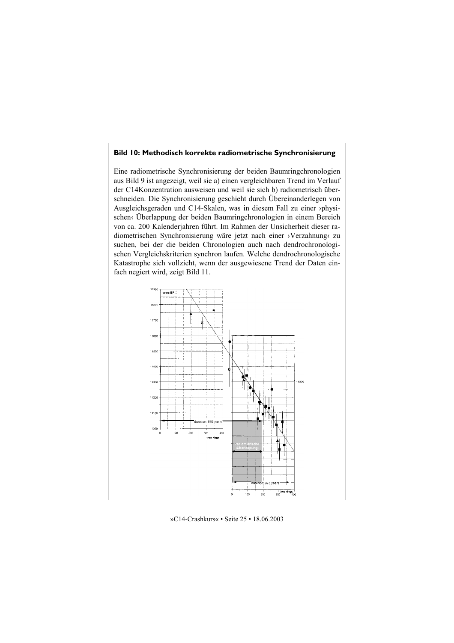## Bild 10: Methodisch korrekte radiometrische Synchronisierung

Eine radiometrische Synchronisierung der beiden Baumringchronologien aus Bild 9 ist angezeigt, weil sie a) einen vergleichbaren Trend im Verlauf der C14Konzentration ausweisen und weil sie sich b) radiometrisch überschneiden. Die Synchronisierung geschieht durch Übereinanderlegen von Ausgleichsgeraden und C14-Skalen, was in diesem Fall zu einer >physischen<br/> Überlappung der beiden Baumringchronologien in einem Bereich von ca. 200 Kalenderjahren führt. Im Rahmen der Unsicherheit dieser radiometrischen Synchronisierung wäre jetzt nach einer >Verzahnung‹ zu suchen, bei der die beiden Chronologien auch nach dendrochronologischen Vergleichskriterien synchron laufen. Welche dendrochronologische Katastrophe sich vollzieht, wenn der ausgewiesene Trend der Daten einfach negiert wird, zeigt Bild 11.

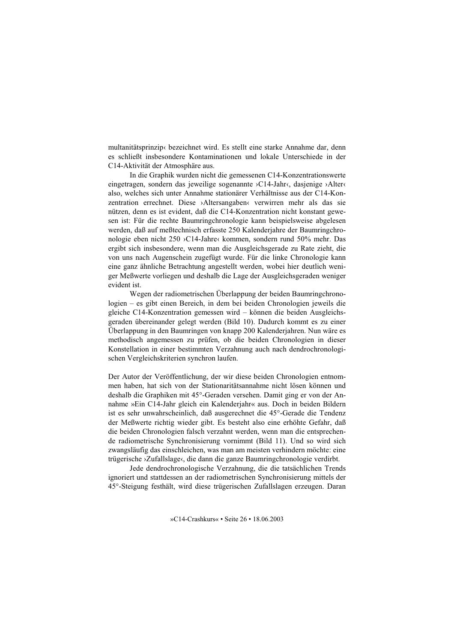multanitätsprinzip« bezeichnet wird. Es stellt eine starke Annahme dar, denn es schließt insbesondere Kontaminationen und lokale Unterschiede in der C14-Aktivität der Atmosphäre aus.

In die Graphik wurden nicht die gemessenen C14-Konzentrationswerte eingetragen, sondern das jeweilige sogenannte >C14-Jahr‹, dasjenige >Alter‹ also, welches sich unter Annahme stationärer Verhältnisse aus der C14-Konzentration errechnet. Diese >Altersangaben< verwirren mehr als das sie nützen. denn es ist evident, daß die C14-Konzentration nicht konstant gewesen ist: Für die rechte Baumringchronologie kann beispielsweise abgelesen werden, daß auf meßtechnisch erfasste 250 Kalenderjahre der Baumringchronologie eben nicht 250 > C14-Jahre<br/> kommen, sondern rund 50% mehr. Das ergibt sich insbesondere, wenn man die Ausgleichsgerade zu Rate zieht, die von uns nach Augenschein zugefügt wurde. Für die linke Chronologie kann eine ganz ähnliche Betrachtung angestellt werden, wobei hier deutlich weniger Meßwerte vorliegen und deshalb die Lage der Ausgleichsgeraden weniger evident ist.

Wegen der radiometrischen Überlappung der beiden Baumringchronologien – es gibt einen Bereich, in dem bei beiden Chronologien jeweils die gleiche C14-Konzentration gemessen wird – können die beiden Ausgleichsgeraden übereinander gelegt werden (Bild 10). Dadurch kommt es zu einer Überlappung in den Baumringen von knapp 200 Kalenderjahren. Nun wäre es methodisch angemessen zu prüfen, ob die beiden Chronologien in dieser Konstellation in einer bestimmten Verzahnung auch nach dendrochronologischen Vergleichskriterien synchron laufen.

Der Autor der Veröffentlichung, der wir diese beiden Chronologien entnommen haben, hat sich von der Stationaritätsannahme nicht lösen können und deshalb die Graphiken mit 45°-Geraden versehen. Damit ging er von der Annahme »Ein C14-Jahr gleich ein Kalenderjahr« aus. Doch in beiden Bildern ist es sehr unwahrscheinlich, daß ausgerechnet die 45°-Gerade die Tendenz der Meßwerte richtig wieder gibt. Es besteht also eine erhöhte Gefahr, daß die beiden Chronologien falsch verzahnt werden, wenn man die entsprechende radiometrische Synchronisierung vornimmt (Bild 11). Und so wird sich zwangsläufig das einschleichen, was man am meisten verhindern möchte: eine trügerische >Zufallslage<, die dann die ganze Baumringchronologie verdirbt.

Jede dendrochronologische Verzahnung, die die tatsächlichen Trends ignoriert und stattdessen an der radiometrischen Synchronisierung mittels der 45°-Steigung festhält, wird diese trügerischen Zufallslagen erzeugen. Daran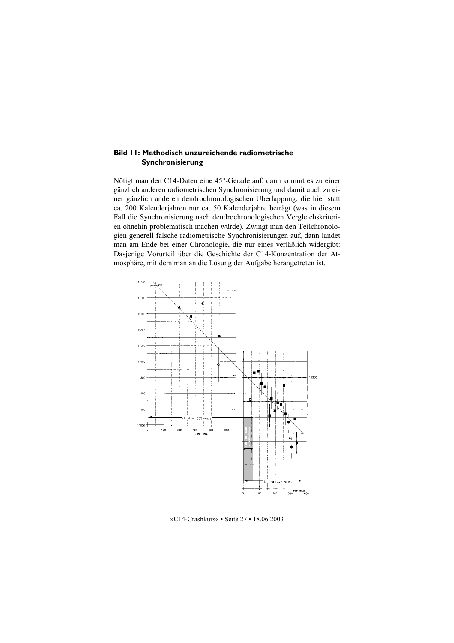## Bild II: Methodisch unzureichende radiometrische Synchronisierung

Nötigt man den C14-Daten eine 45°-Gerade auf, dann kommt es zu einer gänzlich anderen radiometrischen Synchronisierung und damit auch zu einer gänzlich anderen dendrochronologischen Überlappung, die hier statt ca. 200 Kalenderjahren nur ca. 50 Kalenderjahre beträgt (was in diesem Fall die Synchronisierung nach dendrochronologischen Vergleichskriterien ohnehin problematisch machen würde). Zwingt man den Teilchronologien generell falsche radiometrische Synchronisierungen auf, dann landet man am Ende bei einer Chronologie, die nur eines verläßlich widergibt: Dasjenige Vorurteil über die Geschichte der C14-Konzentration der Atmosphäre, mit dem man an die Lösung der Aufgabe herangetreten ist.

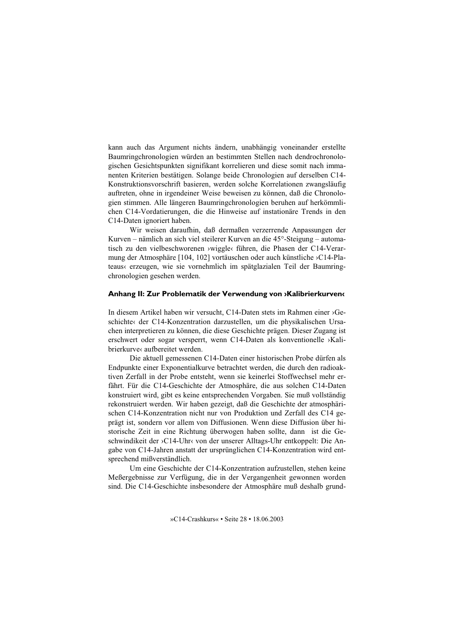kann auch das Argument nichts ändern, unabhängig voneinander erstellte Baumringchronologien würden an bestimmten Stellen nach dendrochronologischen Gesichtspunkten signifikant korrelieren und diese somit nach immanenten Kriterien bestätigen. Solange beide Chronologien auf derselben C14-Konstruktionsvorschrift basieren, werden solche Korrelationen zwangsläufig auftreten, ohne in irgendeiner Weise beweisen zu können, daß die Chronologien stimmen. Alle längeren Baumringchronologien beruhen auf herkömmlichen C14-Vordatierungen, die die Hinweise auf instationäre Trends in den C<sub>14</sub>-Daten ignoriert haben.

Wir weisen daraufhin, daß dermaßen verzerrende Anpassungen der Kurven – nämlich an sich viel steilerer Kurven an die 45°-Steigung – automatisch zu den vielbeschworenen »wiggle« führen, die Phasen der C14-Verarmung der Atmosphäre [104, 102] vortäuschen oder auch künstliche >C14-Plateaus‹ erzeugen, wie sie vornehmlich im spätglazialen Teil der Baumringchronologien gesehen werden.

## Anhang II: Zur Problematik der Verwendung von »Kalibrierkurven«

In diesem Artikel haben wir versucht, C14-Daten stets im Rahmen einer >Geschichte<br/>< der C14-Konzentration darzustellen, um die physikalischen Ursachen interpretieren zu können, die diese Geschichte prägen. Dieser Zugang ist erschwert oder sogar versperrt, wenn C14-Daten als konventionelle >Kalihrierkurve< aufbereitet werden

Die aktuell gemessenen C14-Daten einer historischen Probe dürfen als Endpunkte einer Exponentialkurve betrachtet werden, die durch den radioaktiven Zerfall in der Probe entsteht, wenn sie keinerlei Stoffwechsel mehr erfährt. Für die C14-Geschichte der Atmosphäre, die aus solchen C14-Daten konstruiert wird, gibt es keine entsprechenden Vorgaben. Sie muß vollständig rekonstruiert werden. Wir haben gezeigt, daß die Geschichte der atmosphärischen C14-Konzentration nicht nur von Produktion und Zerfall des C14 geprägt ist, sondern vor allem von Diffusionen. Wenn diese Diffusion über historische Zeit in eine Richtung überwogen haben sollte, dann ist die Geschwindikeit der >C14-Uhr< von der unserer Alltags-Uhr entkoppelt: Die Angabe von C14-Jahren anstatt der ursprünglichen C14-Konzentration wird entsprechend mißverständlich.

Um eine Geschichte der C14-Konzentration aufzustellen, stehen keine Meßergebnisse zur Verfügung, die in der Vergangenheit gewonnen worden sind. Die C14-Geschichte insbesondere der Atmosphäre muß deshalb grund-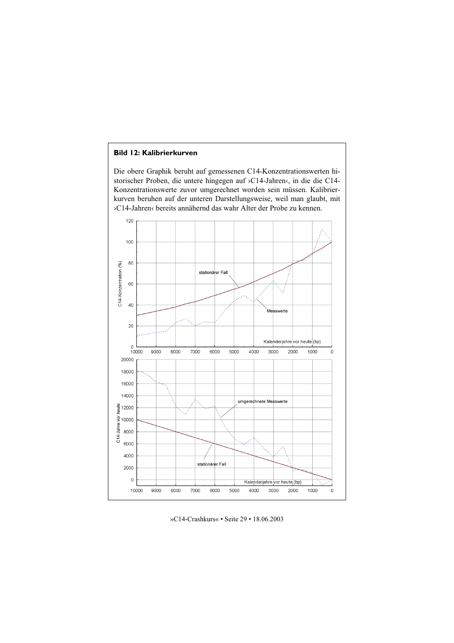## **Bild 12: Kalibrierkurven**

Die obere Graphik beruht auf gemessenen C14-Konzentrationswerten historischer Proben, die untere hingegen auf >C14-Jahren‹, in die die C14-Konzentrationswerte zuvor umgerechnet worden sein müssen. Kalibrierkurven beruhen auf der unteren Darstellungsweise, weil man glaubt, mit >C14-Jahren<br />
bereits annähernd das wahr Alter der Probe zu kennen.



»C14-Crashkurs« • Seite 29 • 18.06.2003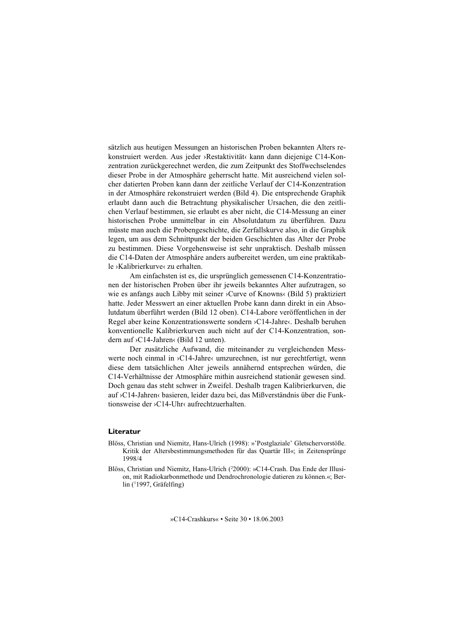sätzlich aus heutigen Messungen an historischen Proben bekannten Alters rekonstruiert werden. Aus jeder ›Restaktivität‹ kann dann diejenige C14-Konzentration zurückgerechnet werden, die zum Zeitpunkt des Stoffwechselendes dieser Probe in der Atmosphäre geherrscht hatte. Mit ausreichend vielen solcher datierten Proben kann dann der zeitliche Verlauf der C14-Konzentration in der Atmosphäre rekonstruiert werden (Bild 4). Die entsprechende Graphik erlaubt dann auch die Betrachtung physikalischer Ursachen, die den zeitlichen Verlauf bestimmen, sie erlaubt es aber nicht, die C14-Messung an einer historischen Probe unmittelbar in ein Absolutdatum zu überführen. Dazu müsste man auch die Probengeschichte, die Zerfallskurve also, in die Graphik legen, um aus dem Schnittpunkt der beiden Geschichten das Alter der Probe zu bestimmen. Diese Vorgehensweise ist sehr unpraktisch. Deshalb müssen die C14-Daten der Atmosphäre anders aufbereitet werden, um eine praktikable >Kalibrierkurve< zu erhalten.

Am einfachsten ist es, die ursprünglich gemessenen C14-Konzentrationen der historischen Proben über ihr jeweils bekanntes Alter aufzutragen, so wie es anfangs auch Libby mit seiner >Curve of Knowns(Bild 5) praktiziert hatte. Jeder Messwert an einer aktuellen Probe kann dann direkt in ein Absolutdatum überführt werden (Bild 12 oben). C14-Labore veröffentlichen in der Regel aber keine Konzentrationswerte sondern >C14-Jahre<. Deshalb beruhen konventionelle Kalibrierkurven auch nicht auf der C14-Konzentration, sondern auf >C14-Jahren‹ (Bild 12 unten).

Der zusätzliche Aufwand, die miteinander zu vergleichenden Messwerte noch einmal in >C14-Jahre<br/>  $\alpha$  umzurechnen, ist nur gerechtfertigt, wenn diese dem tatsächlichen Alter jeweils annähernd entsprechen würden, die C14-Verhältnisse der Atmosphäre mithin ausreichend stationär gewesen sind. Doch genau das steht schwer in Zweifel. Deshalb tragen Kalibrierkurven, die auf >C14-Jahren<br/>
c basieren, leider dazu bei, das Mißverständnis über die Funktionsweise der  $_2$ C14-Uhr $_4$  aufrechtzuerhalten.

#### Literatur

- Blöss, Christian und Niemitz, Hans-Ulrich (1998): »'Postglaziale' Gletschervorstöße. Kritik der Altersbestimmungsmethoden für das Quartär III«; in Zeitensprünge 1998/4
- Blöss, Christian und Niemitz, Hans-Ulrich (<sup>2</sup>2000): »C14-Crash. Das Ende der Illusion, mit Radiokarbonmethode und Dendrochronologie datieren zu können.«; Ber- $\ln$  (1997, Gräfelfing)